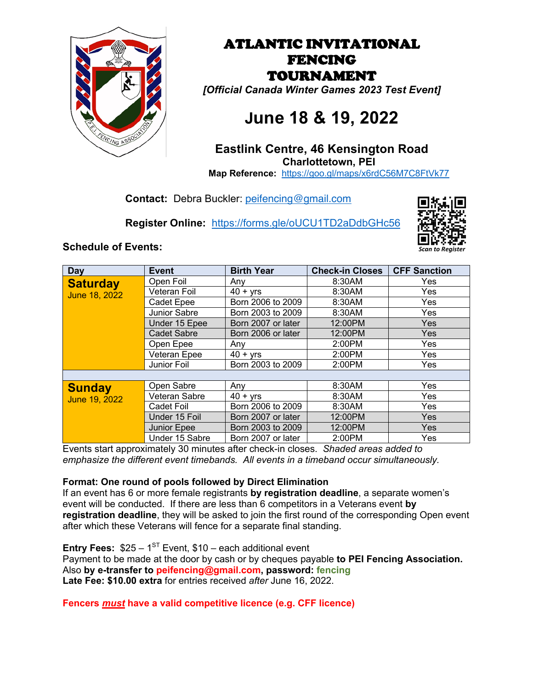

ATLANTIC INVITATIONAL FENCING TOURNAMENT *[Official Canada Winter Games 2023 Test Event]*

# **June 18 & 19, 2022**

### **Eastlink Centre, 46 Kensington Road Charlottetown, PEI**

**Map Reference:** https://goo.gl/maps/x6rdC56M7C8FtVk77

**Contact:** Debra Buckler: peifencing@gmail.com

**Register Online:** https://forms.gle/oUCU1TD2aDdbGHc56



### **Schedule of Events:**

| Day                              | <b>Event</b>       | <b>Birth Year</b>  | <b>Check-in Closes</b> | <b>CFF Sanction</b> |  |
|----------------------------------|--------------------|--------------------|------------------------|---------------------|--|
| <b>Saturday</b><br>June 18, 2022 | Open Foil          | Any                | 8:30AM                 | Yes                 |  |
|                                  | Veteran Foil       | $40 + yrs$         | 8:30AM                 | Yes                 |  |
|                                  | Cadet Epee         | Born 2006 to 2009  | 8:30AM                 | Yes                 |  |
|                                  | Junior Sabre       | Born 2003 to 2009  | 8:30AM                 | Yes                 |  |
|                                  | Under 15 Epee      | Born 2007 or later | 12:00PM                | Yes                 |  |
|                                  | <b>Cadet Sabre</b> | Born 2006 or later | 12:00PM                | Yes                 |  |
|                                  | Open Epee          | Any                | 2:00PM                 | Yes                 |  |
|                                  | Veteran Epee       | $40 + yrs$         | 2:00PM                 | Yes                 |  |
|                                  | Junior Foil        | Born 2003 to 2009  | 2:00PM                 | Yes                 |  |
|                                  |                    |                    |                        |                     |  |
| <b>Sunday</b><br>June 19, 2022   | Open Sabre         | Any                | 8:30AM                 | Yes                 |  |
|                                  | Veteran Sabre      | $40 + yrs$         | 8:30AM                 | Yes                 |  |
|                                  | Cadet Foil         | Born 2006 to 2009  | 8:30AM                 | Yes                 |  |
|                                  | Under 15 Foil      | Born 2007 or later | 12:00PM                | Yes                 |  |
|                                  | Junior Epee        | Born 2003 to 2009  | 12:00PM                | Yes                 |  |
|                                  | Under 15 Sabre     | Born 2007 or later | 2:00PM                 | Yes                 |  |

Events start approximately 30 minutes after check-in closes. *Shaded areas added to emphasize the different event timebands. All events in a timeband occur simultaneously.*

#### **Format: One round of pools followed by Direct Elimination**

If an event has 6 or more female registrants **by registration deadline**, a separate women's event will be conducted. If there are less than 6 competitors in a Veterans event **by registration deadline**, they will be asked to join the first round of the corresponding Open event after which these Veterans will fence for a separate final standing.

**Entry Fees:**  $$25 - 1$ <sup>ST</sup> Event,  $$10 - each additional event$ Payment to be made at the door by cash or by cheques payable **to PEI Fencing Association.** Also **by e-transfer to peifencing@gmail.com, password: fencing Late Fee: \$10.00 extra** for entries received *after* June 16, 2022.

**Fencers** *must* **have a valid competitive licence (e.g. CFF licence)**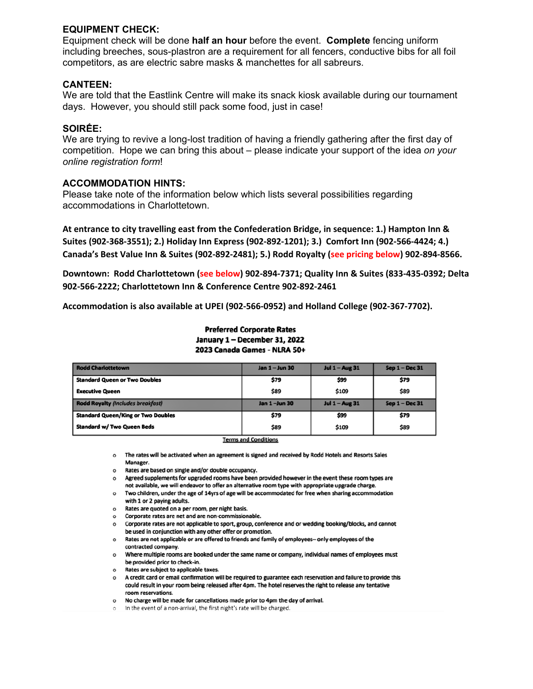#### **EQUIPMENT CHECK:**

Equipment check will be done **half an hour** before the event. **Complete** fencing uniform including breeches, sous-plastron are a requirement for all fencers, conductive bibs for all foil competitors, as are electric sabre masks & manchettes for all sabreurs.

#### **CANTEEN:**

We are told that the Eastlink Centre will make its snack kiosk available during our tournament days. However, you should still pack some food, just in case!

#### **SOIRḖE:**

We are trying to revive a long-lost tradition of having a friendly gathering after the first day of competition. Hope we can bring this about – please indicate your support of the idea *on your online registration form*!

#### **ACCOMMODATION HINTS:**

Please take note of the information below which lists several possibilities regarding accommodations in Charlottetown.

**At entrance to city travelling east from the Confederation Bridge, in sequence: 1.) Hampton Inn & Suites (902-368-3551); 2.) Holiday Inn Express (902-892-1201); 3.) Comfort Inn (902-566-4424; 4.) Canada's Best Value Inn & Suites (902-892-2481); 5.) Rodd Royalty (see pricing below) 902-894-8566.**

**Downtown: Rodd Charlottetown (see below) 902-894-7371; Quality Inn & Suites (833-435-0392; Delta 902-566-2222; Charlottetown Inn & Conference Centre 902-892-2461**

**Accommodation is also available at UPEI (902-566-0952) and Holland College (902-367-7702).**

**Preferred Corporate Rates** January 1 - December 31, 2022 2023 Canada Games - NLRA 50+

| <b>Rodd Charlottetown</b>                 | Jan 1 - Jun 30 | <b>Jul 1 - Aug 31</b> | Sep 1 - Dec 31 |
|-------------------------------------------|----------------|-----------------------|----------------|
| <b>Standard Queen or Two Doubles</b>      | \$79           | \$99                  | \$79           |
| <b>Executive Queen</b>                    | \$89           | \$109                 | \$89           |
| <b>Rodd Royalty (Includes breakfast)</b>  | Jan 1-Jun 30   | <b>Jul 1 - Aug 31</b> | Sep 1 - Dec 31 |
| <b>Standard Queen/King or Two Doubles</b> | \$79           | \$99                  | \$79           |
| <b>Standard w/ Two Queen Beds</b>         | \$89           | \$109                 | \$89           |

#### **Terms and Conditions**

o The rates will be activated when an agreement is signed and received by Rodd Hotels and Resorts Sales Manager.

- o Rates are based on single and/or double occupancy.
- o Agreed supplements for upgraded rooms have been provided however in the event these room types are not available, we will endeavor to offer an alternative room type with appropriate upgrade charge.
- o Two children, under the age of 14yrs of age will be accommodated for free when sharing accommodation with 1 or 2 paying adults.
- $\circ$ Rates are quoted on a per room, per night basis.
- Corporate rates are net and are non-commissionable.
- Corporate rates are not applicable to sport, group, conference and or wedding booking/blocks, and cannot  $\circ$ be used in conjunction with any other offer or promotion.
- o Rates are not applicable or are offered to friends and family of employees- only employees of the contracted company.
- o Where multiple rooms are booked under the same name or company, individual names of employees must be provided prior to check-in.
- $\circ$ Rates are subject to applicable taxes.

o A credit card or email confirmation will be required to guarantee each reservation and failure to provide this could result in your room being released after 4pm. The hotel reserves the right to release any tentative room reservations.

- o No charge will be made for cancellations made prior to 4pm the day of arrival.
- o In the event of a non-arrival, the first night's rate will be charged.